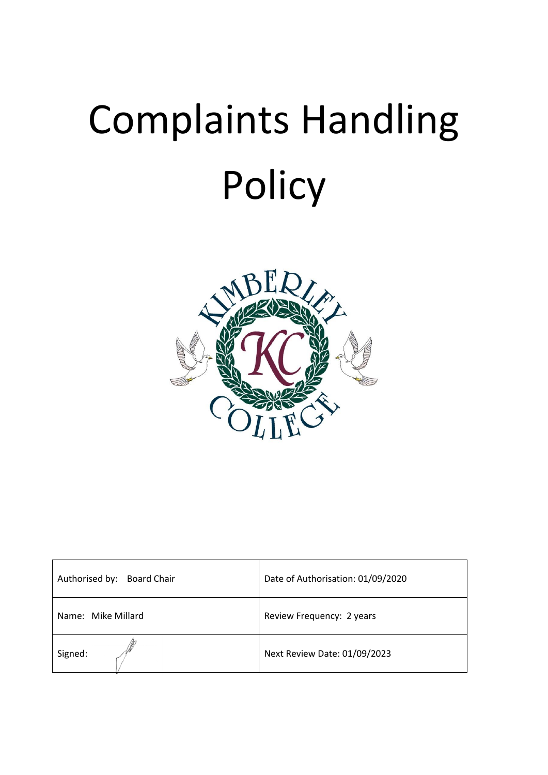

| Authorised by: Board Chair | Date of Authorisation: 01/09/2020 |
|----------------------------|-----------------------------------|
| Name: Mike Millard         | Review Frequency: 2 years         |
| Signed:                    | Next Review Date: 01/09/2023      |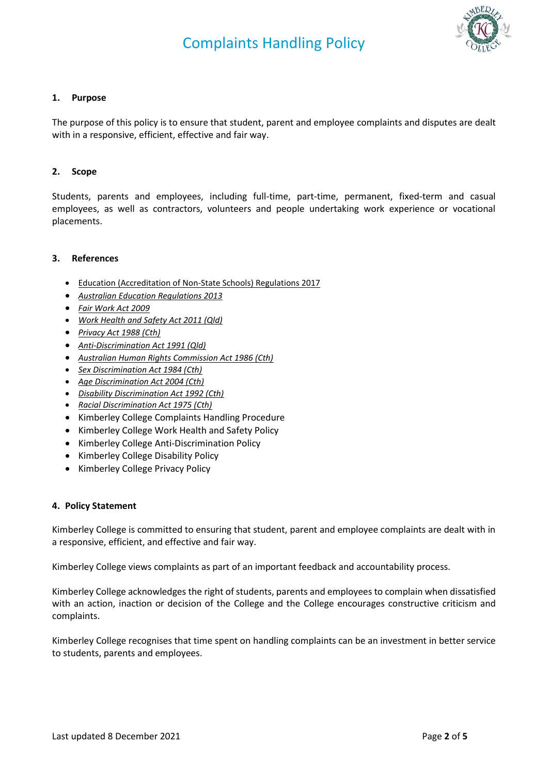

## **1. Purpose**

The purpose of this policy is to ensure that student, parent and employee complaints and disputes are dealt with in a responsive, efficient, effective and fair way.

## **2. Scope**

Students, parents and employees, including full-time, part-time, permanent, fixed-term and casual employees, as well as contractors, volunteers and people undertaking work experience or vocational placements.

#### **3. References**

- [Education \(Accreditation of Non-State Schools\) Regulations 2017](https://www.legislation.qld.gov.au/view/whole/html/asmade/act-2017-024)
- *[Australian Education Regulations 2013](http://www.comlaw.gov.au/Details/F2013L01476)*
- *[Fair Work](http://www.comlaw.gov.au/Details/C2014C00031/Html/Volume_1#_Toc377043680) Act 2009*
- *[Work Health and Safety Act 2011 \(Qld\)](https://www.legislation.qld.gov.au/LEGISLTN/CURRENT/W/WorkHSA11.pdf)*
- *[Privacy Act 1988 \(Cth\)](http://www.comlaw.gov.au/Details/C2014C00076)*
- *[Anti-Discrimination Act 1991 \(Qld\)](https://www.legislation.qld.gov.au/LEGISLTN/CURRENT/A/AntiDiscrimA91.pdf)*
- *[Australian Human Rights Commission Act 1986 \(Cth\)](http://www.comlaw.gov.au/Series/C2004A03366)*
- *[Sex Discrimination Act 1984 \(Cth\)](http://www.comlaw.gov.au/Series/C2004A02868)*
- *[Age Discrimination Act 2004 \(Cth\)](http://www.comlaw.gov.au/Series/C2004A01302)*
- *Disability [Discrimination Act 1992 \(Cth\)](http://www.comlaw.gov.au/Series/C2004A04426)*
- *[Racial Discrimination Act 1975 \(Cth\)](http://www.comlaw.gov.au/Series/C2004A00274)*
- Kimberley College Complaints Handling Procedure
- Kimberley College Work Health and Safety Policy
- Kimberley College Anti-Discrimination Policy
- Kimberley College Disability Policy
- Kimberley College Privacy Policy

#### **4. Policy Statement**

Kimberley College is committed to ensuring that student, parent and employee complaints are dealt with in a responsive, efficient, and effective and fair way.

Kimberley College views complaints as part of an important feedback and accountability process.

Kimberley College acknowledges the right of students, parents and employees to complain when dissatisfied with an action, inaction or decision of the College and the College encourages constructive criticism and complaints.

Kimberley College recognises that time spent on handling complaints can be an investment in better service to students, parents and employees.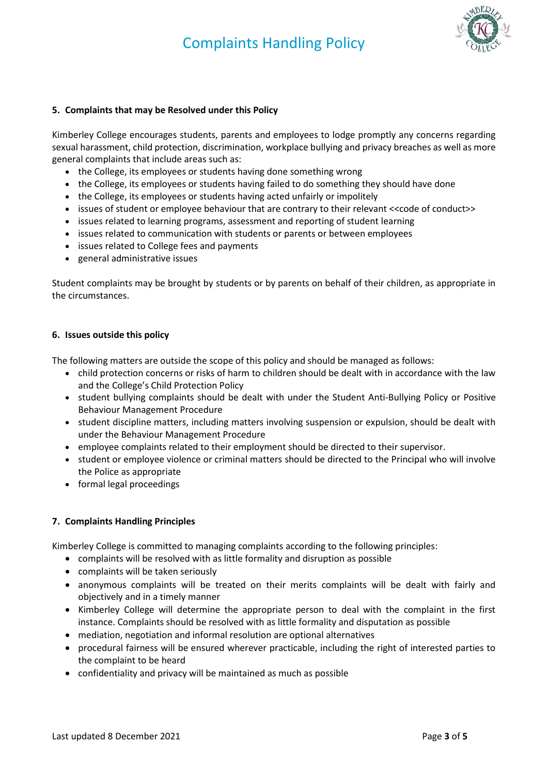

## **5. Complaints that may be Resolved under this Policy**

Kimberley College encourages students, parents and employees to lodge promptly any concerns regarding sexual harassment, child protection, discrimination, workplace bullying and privacy breaches as well as more general complaints that include areas such as:

- the College, its employees or students having done something wrong
- the College, its employees or students having failed to do something they should have done
- the College, its employees or students having acted unfairly or impolitely
- issues of student or employee behaviour that are contrary to their relevant <<code of conduct>>
- issues related to learning programs, assessment and reporting of student learning
- issues related to communication with students or parents or between employees
- issues related to College fees and payments
- general administrative issues

Student complaints may be brought by students or by parents on behalf of their children, as appropriate in the circumstances.

#### **6. Issues outside this policy**

The following matters are outside the scope of this policy and should be managed as follows:

- child protection concerns or risks of harm to children should be dealt with in accordance with the law and the College's Child Protection Policy
- student bullying complaints should be dealt with under the Student Anti-Bullying Policy or Positive Behaviour Management Procedure
- student discipline matters, including matters involving suspension or expulsion, should be dealt with under the Behaviour Management Procedure
- employee complaints related to their employment should be directed to their supervisor.
- student or employee violence or criminal matters should be directed to the Principal who will involve the Police as appropriate
- formal legal proceedings

## **7. Complaints Handling Principles**

Kimberley College is committed to managing complaints according to the following principles:

- complaints will be resolved with as little formality and disruption as possible
- complaints will be taken seriously
- anonymous complaints will be treated on their merits complaints will be dealt with fairly and objectively and in a timely manner
- Kimberley College will determine the appropriate person to deal with the complaint in the first instance. Complaints should be resolved with as little formality and disputation as possible
- mediation, negotiation and informal resolution are optional alternatives
- procedural fairness will be ensured wherever practicable, including the right of interested parties to the complaint to be heard
- confidentiality and privacy will be maintained as much as possible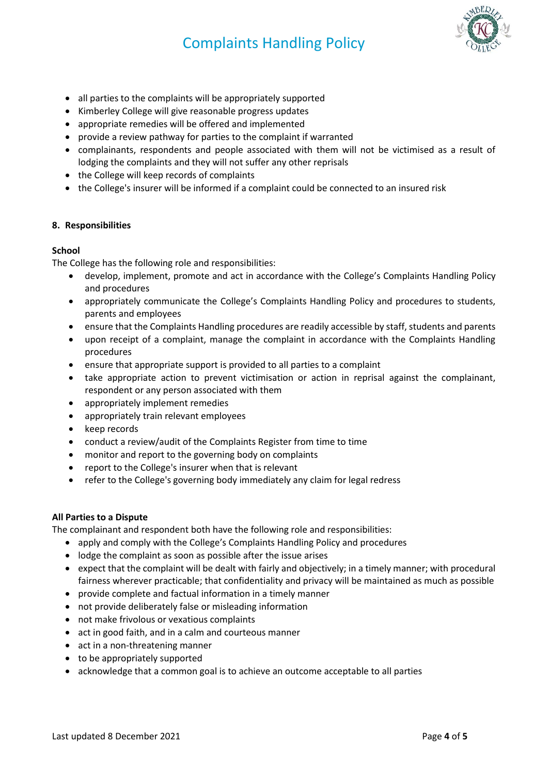

- all parties to the complaints will be appropriately supported
- Kimberley College will give reasonable progress updates
- appropriate remedies will be offered and implemented
- provide a review pathway for parties to the complaint if warranted
- complainants, respondents and people associated with them will not be victimised as a result of lodging the complaints and they will not suffer any other reprisals
- the College will keep records of complaints
- the College's insurer will be informed if a complaint could be connected to an insured risk

#### **8. Responsibilities**

#### **School**

The College has the following role and responsibilities:

- develop, implement, promote and act in accordance with the College's Complaints Handling Policy and procedures
- appropriately communicate the College's Complaints Handling Policy and procedures to students, parents and employees
- ensure that the Complaints Handling procedures are readily accessible by staff, students and parents
- upon receipt of a complaint, manage the complaint in accordance with the Complaints Handling procedures
- ensure that appropriate support is provided to all parties to a complaint
- take appropriate action to prevent victimisation or action in reprisal against the complainant, respondent or any person associated with them
- appropriately implement remedies
- appropriately train relevant employees
- keep records
- conduct a review/audit of the Complaints Register from time to time
- monitor and report to the governing body on complaints
- report to the College's insurer when that is relevant
- refer to the College's governing body immediately any claim for legal redress

## **All Parties to a Dispute**

The complainant and respondent both have the following role and responsibilities:

- apply and comply with the College's Complaints Handling Policy and procedures
- lodge the complaint as soon as possible after the issue arises
- expect that the complaint will be dealt with fairly and objectively; in a timely manner; with procedural fairness wherever practicable; that confidentiality and privacy will be maintained as much as possible
- provide complete and factual information in a timely manner
- not provide deliberately false or misleading information
- not make frivolous or vexatious complaints
- act in good faith, and in a calm and courteous manner
- act in a non-threatening manner
- to be appropriately supported
- acknowledge that a common goal is to achieve an outcome acceptable to all parties